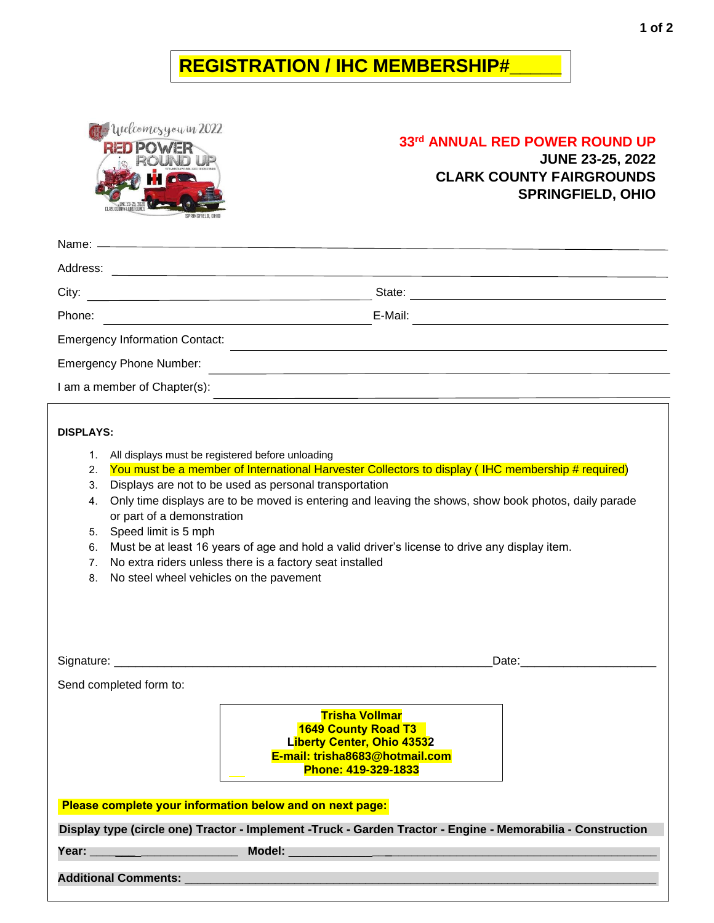## **REGISTRATION / IHC MEMBERSHIP#\_\_\_\_\_**

Welcomesyou in 2022 **RED POWER** 

**#**\_\_\_\_\_\_\_\_\_\_\_\_

## **33rd ANNUAL RED POWER ROUND UP**

**JUNE 23-25, 2022 CLARK COUNTY FAIRGROUNDS SPRINGFIELD, OHIO**

| Address:                                                      |         |  |
|---------------------------------------------------------------|---------|--|
| City:                                                         | State:  |  |
| Phone:<br><u> 1980 - Andrea Station Barbara, amerikan per</u> | E-Mail: |  |
| <b>Emergency Information Contact:</b>                         |         |  |
| <b>Emergency Phone Number:</b>                                |         |  |
| I am a member of Chapter(s):                                  |         |  |

## **DISPLAYS:**

- 1. All displays must be registered before unloading
- 2. You must be a member of International Harvester Collectors to display (IHC membership # required)
- 3. Displays are not to be used as personal transportation
- 4. Only time displays are to be moved is entering and leaving the shows, show book photos, daily parade or part of a demonstration
- 5. Speed limit is 5 mph
- 6. Must be at least 16 years of age and hold a valid driver's license to drive any display item.
- 7. No extra riders unless there is a factory seat installed
- 8. No steel wheel vehicles on the pavement

**Blade**

|                             | Date: the contract of the contract of the contract of the contract of the contract of the contract of the contract of the contract of the contract of the contract of the contract of the contract of the contract of the cont |  |
|-----------------------------|--------------------------------------------------------------------------------------------------------------------------------------------------------------------------------------------------------------------------------|--|
| Send completed form to:     |                                                                                                                                                                                                                                |  |
|                             | <b>Trisha Vollmar</b><br>1649 County Road T3<br>Liberty Center, Ohio 43532<br>E-mail: trisha8683@hotmail.com<br>Phone: 419-329-1833                                                                                            |  |
|                             | Please complete your information below and on next page:                                                                                                                                                                       |  |
|                             | Display type (circle one) Tractor - Implement -Truck - Garden Tractor - Engine - Memorabilia - Construction                                                                                                                    |  |
|                             | Model: We have a state of the state of the state of the state of the state of the state of the state of the state of the state of the state of the state of the state of the state of the state of the state of the state of t |  |
| <b>Additional Comments:</b> |                                                                                                                                                                                                                                |  |